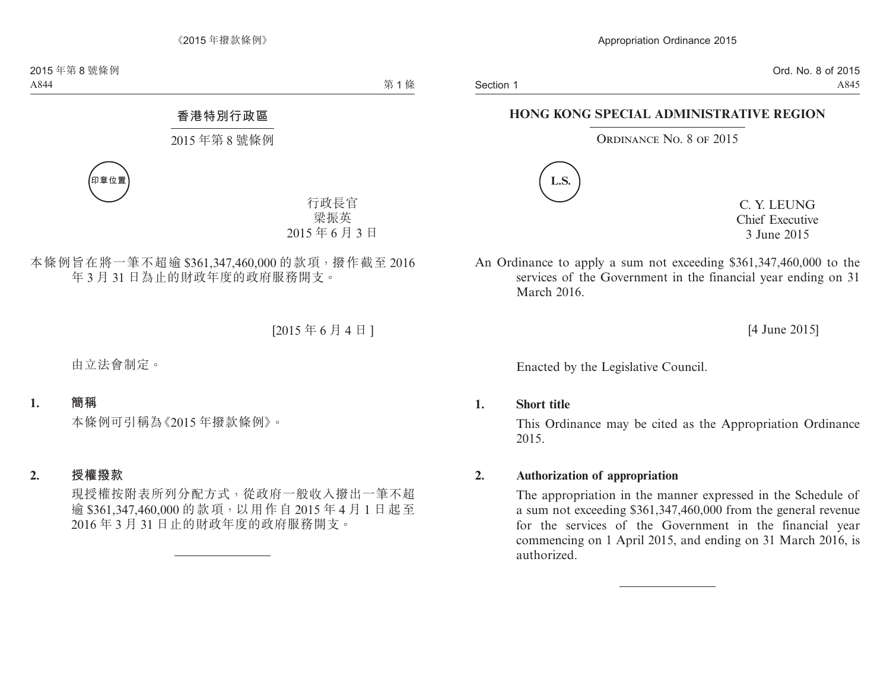# **HONG KONG SPECIAL ADMINISTRATIVE REGION**

### ORDINANCE NO. 8 OF 2015



C. Y. LEUNG Chief Executive 3 June 2015

An Ordinance to apply a sum not exceeding \$361,347,460,000 to the services of the Government in the financial year ending on 31 March 2016

[4 June 2015]

Enacted by the Legislative Council.

#### **1. Short title**

This Ordinance may be cited as the Appropriation Ordinance 2015.

## **2. Authorization of appropriation**

The appropriation in the manner expressed in the Schedule of a sum not exceeding \$361,347,460,000 from the general revenue for the services of the Government in the financial year commencing on 1 April 2015, and ending on 31 March 2016, is authorized.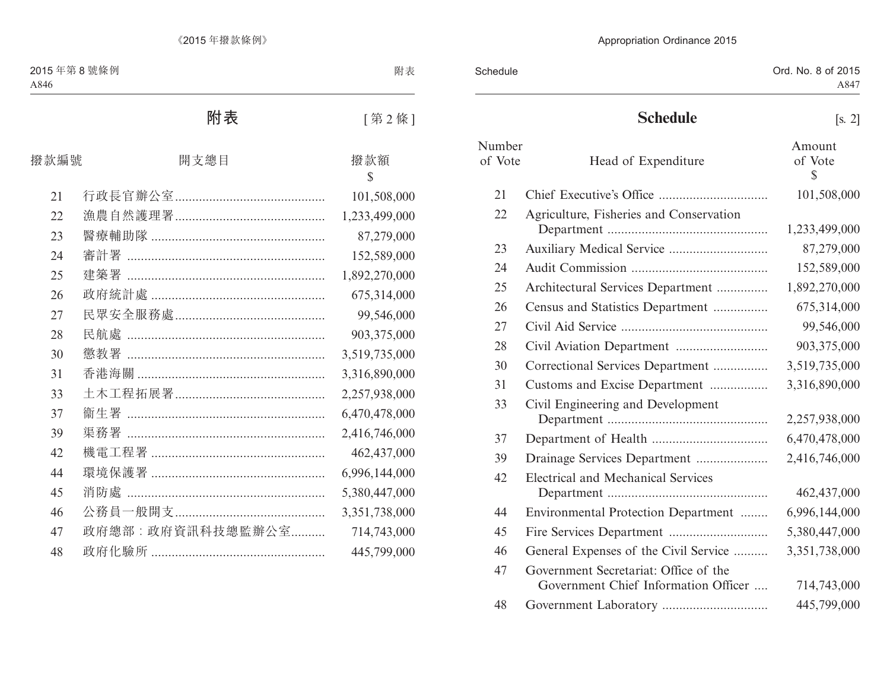| Schedule | Ord. No. 8 of 2015 |
|----------|--------------------|
|          | A847               |
|          |                    |

# **Schedule** [s. 2]

| Number<br>of Vote | Head of Expenditure                                                           | Amount<br>of Vote<br>$\overline{\mathbb{S}}$ |
|-------------------|-------------------------------------------------------------------------------|----------------------------------------------|
| 21                |                                                                               | 101,508,000                                  |
| 22                | Agriculture, Fisheries and Conservation                                       |                                              |
|                   |                                                                               | 1,233,499,000                                |
| 23                |                                                                               | 87,279,000                                   |
| 24                |                                                                               | 152,589,000                                  |
| 25                | Architectural Services Department                                             | 1,892,270,000                                |
| 26                | Census and Statistics Department                                              | 675,314,000                                  |
| 27                |                                                                               | 99,546,000                                   |
| 28                |                                                                               | 903,375,000                                  |
| 30                | Correctional Services Department                                              | 3,519,735,000                                |
| 31                | Customs and Excise Department                                                 | 3,316,890,000                                |
| 33                | Civil Engineering and Development                                             |                                              |
|                   |                                                                               | 2,257,938,000                                |
| 37                |                                                                               | 6,470,478,000                                |
| 39                | Drainage Services Department                                                  | 2,416,746,000                                |
| 42                | <b>Electrical and Mechanical Services</b>                                     |                                              |
|                   |                                                                               | 462,437,000                                  |
| 44                | Environmental Protection Department                                           | 6,996,144,000                                |
| 45                |                                                                               | 5,380,447,000                                |
| 46                | General Expenses of the Civil Service                                         | 3,351,738,000                                |
| 47                | Government Secretariat: Office of the<br>Government Chief Information Officer | 714,743,000                                  |
| 48                |                                                                               | 445,799,000                                  |
|                   |                                                                               |                                              |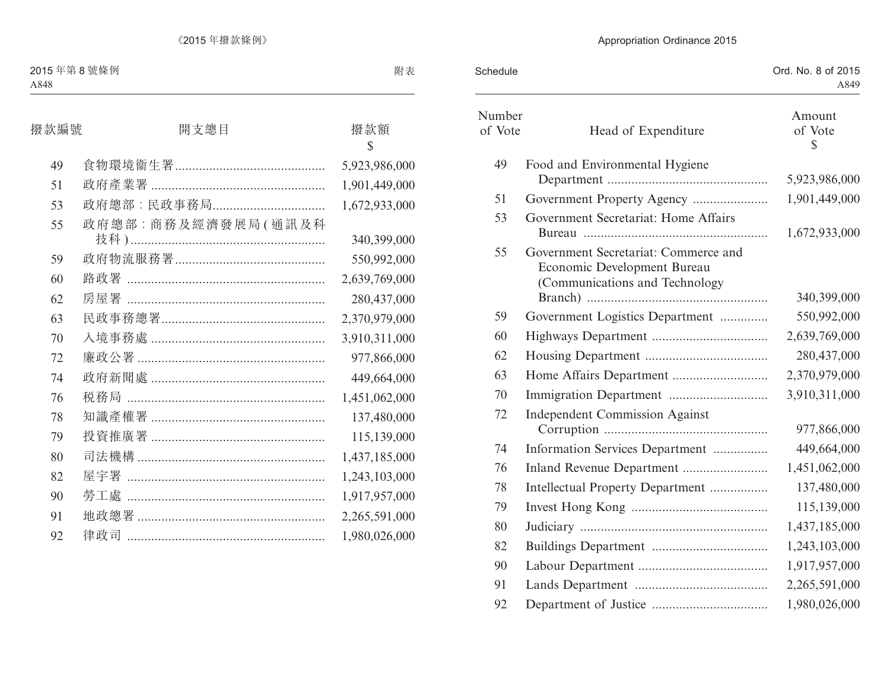| Schedule          |                                                                                                       | Ord. No. 8 of 2015<br>A849 |
|-------------------|-------------------------------------------------------------------------------------------------------|----------------------------|
| Number<br>of Vote | Head of Expenditure                                                                                   | Amount<br>of Vote<br>\$    |
| 49                | Food and Environmental Hygiene                                                                        | 5,923,986,000              |
| 51                | Government Property Agency                                                                            | 1,901,449,000              |
| 53                | Government Secretariat: Home Affairs                                                                  | 1,672,933,000              |
| 55                | Government Secretariat: Commerce and<br>Economic Development Bureau<br>(Communications and Technology | 340,399,000                |
| 59                | Government Logistics Department                                                                       | 550,992,000                |
| 60                |                                                                                                       | 2,639,769,000              |
| 62                |                                                                                                       | 280,437,000                |
| 63                |                                                                                                       | 2,370,979,000              |
| 70                |                                                                                                       | 3,910,311,000              |
| 72                | <b>Independent Commission Against</b>                                                                 | 977,866,000                |
| 74                | Information Services Department                                                                       | 449,664,000                |
| 76                | Inland Revenue Department                                                                             | 1,451,062,000              |
| 78                | Intellectual Property Department                                                                      | 137,480,000                |
| 79                |                                                                                                       | 115,139,000                |
| 80                |                                                                                                       | 1,437,185,000              |
| 82                |                                                                                                       | 1,243,103,000              |
| 90                |                                                                                                       | 1,917,957,000              |
| 91                |                                                                                                       | 2,265,591,000              |
| 92                |                                                                                                       | 1,980,026,000              |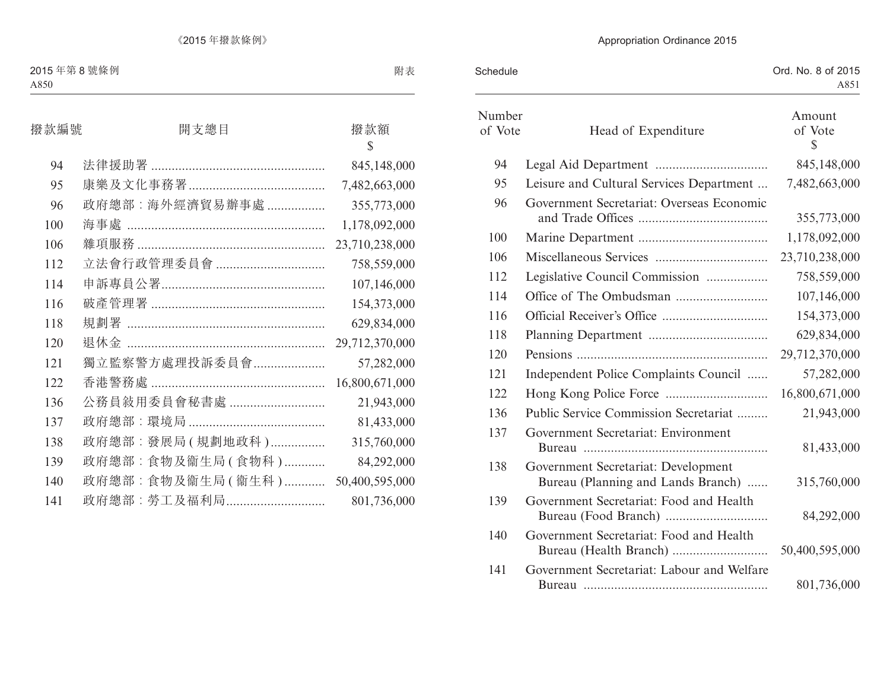| Schedule          |                                                                           | Ord. No. 8 of 2015<br>A851        |
|-------------------|---------------------------------------------------------------------------|-----------------------------------|
| Number<br>of Vote | Head of Expenditure                                                       | Amount<br>of Vote<br>$\mathbb{S}$ |
| 94                |                                                                           | 845,148,000                       |
| 95                | Leisure and Cultural Services Department                                  | 7,482,663,000                     |
| 96                | Government Secretariat: Overseas Economic                                 | 355,773,000                       |
| 100               |                                                                           | 1,178,092,000                     |
| 106               |                                                                           | 23,710,238,000                    |
| 112               | Legislative Council Commission                                            | 758,559,000                       |
| 114               |                                                                           | 107,146,000                       |
| 116               |                                                                           | 154,373,000                       |
| 118               |                                                                           | 629,834,000                       |
| 120               |                                                                           | 29,712,370,000                    |
| 121               | Independent Police Complaints Council                                     | 57,282,000                        |
| 122               |                                                                           | 16,800,671,000                    |
| 136               | Public Service Commission Secretariat                                     | 21,943,000                        |
| 137               | Government Secretariat: Environment                                       | 81,433,000                        |
| 138               | Government Secretariat: Development<br>Bureau (Planning and Lands Branch) | 315,760,000                       |
| 139               | Government Secretariat: Food and Health                                   | 84,292,000                        |
| 140               | Government Secretariat: Food and Health                                   | 50,400,595,000                    |
| 141               | Government Secretariat: Labour and Welfare                                | 801,736,000                       |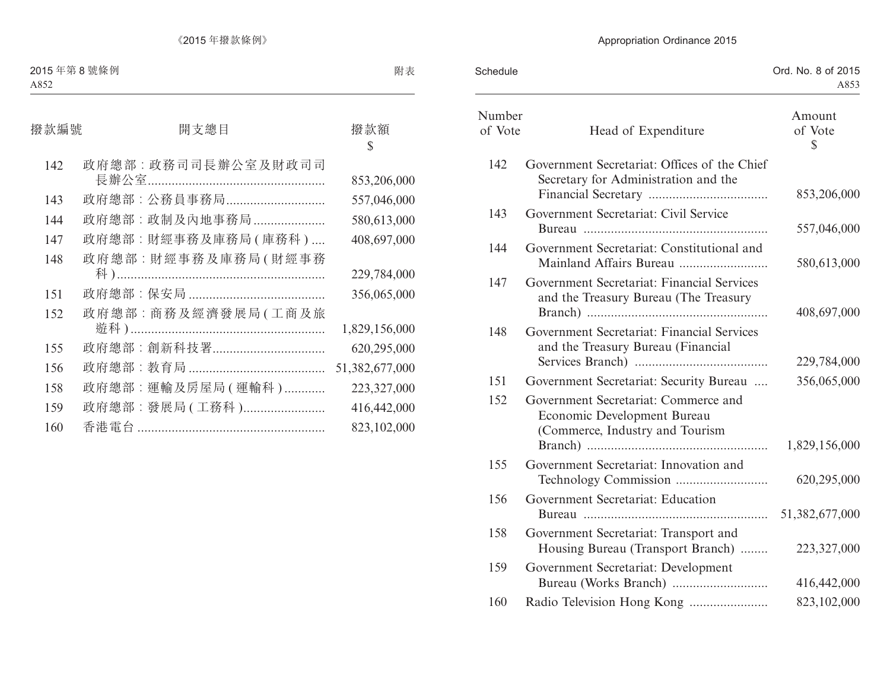| Schedule          |                                                                                                        | Ord. No. 8 of 2015<br>A853 |
|-------------------|--------------------------------------------------------------------------------------------------------|----------------------------|
| Number<br>of Vote | Head of Expenditure                                                                                    | Amount<br>of Vote<br>\$    |
| 142               | Government Secretariat: Offices of the Chief<br>Secretary for Administration and the                   | 853,206,000                |
| 143               | Government Secretariat: Civil Service                                                                  | 557,046,000                |
| 144               | Government Secretariat: Constitutional and<br>Mainland Affairs Bureau                                  | 580,613,000                |
| 147               | Government Secretariat: Financial Services<br>and the Treasury Bureau (The Treasury                    | 408,697,000                |
| 148               | Government Secretariat: Financial Services<br>and the Treasury Bureau (Financial                       | 229,784,000                |
| 151               | Government Secretariat: Security Bureau                                                                | 356,065,000                |
| 152               | Government Secretariat: Commerce and<br>Economic Development Bureau<br>(Commerce, Industry and Tourism | 1,829,156,000              |
| 155               | Government Secretariat: Innovation and                                                                 | 620,295,000                |
| 156               | Government Secretariat: Education                                                                      | 51,382,677,000             |
| 158               | Government Secretariat: Transport and<br>Housing Bureau (Transport Branch)                             | 223,327,000                |
| 159               | Government Secretariat: Development                                                                    | 416,442,000                |
| 160               | Radio Television Hong Kong                                                                             | 823,102,000                |